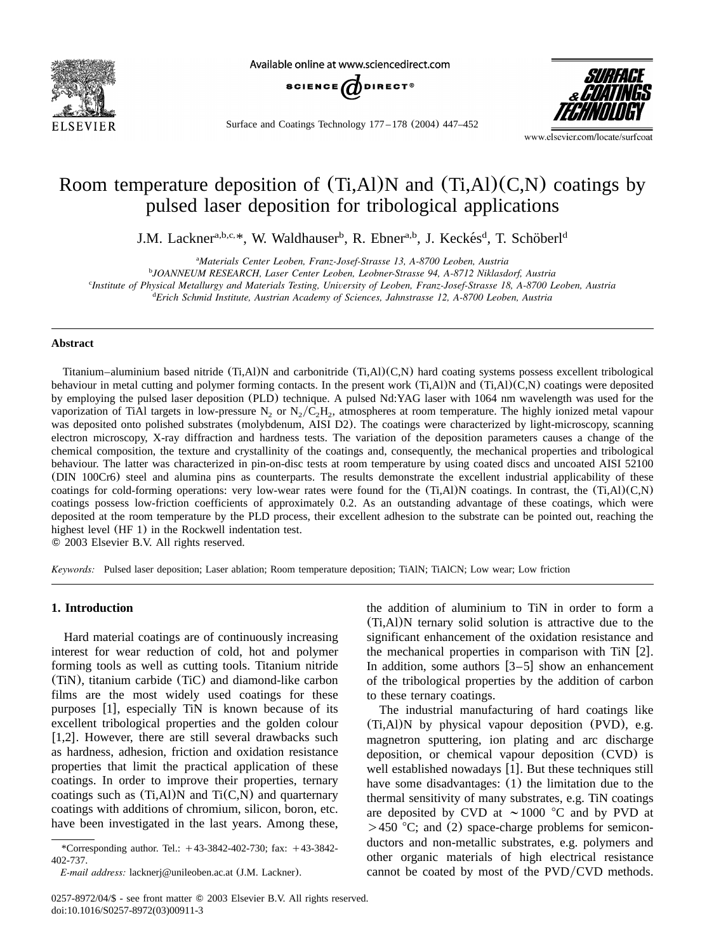

Available online at www.sciencedirect.com



Surface and Coatings Technology 177 – 178 (2004) 447–452



www.elsevier.com/locate/surfcoat

# Room temperature deposition of  $(Ti, A1)N$  and  $(Ti, A1)(C,N)$  coatings by pulsed laser deposition for tribological applications

J.M. Lackner<sup>a,b,c,\*</sup>, W. Waldhauser<sup>b</sup>, R. Ebner<sup>a,b</sup>, J. Keckés<sup>d</sup>, T. Schöberl<sup>d</sup>

*Materials Center Leoben, Franz-Josef-Strasse 13, A-8700 Leoben, Austria* <sup>a</sup>

*JOANNEUM RESEARCH, Laser Center Leoben, Leobner-Strasse 94, A-8712 Niklasdorf, Austria* <sup>b</sup>

*Institute of Physical Metallurgy and Materials Testing, University of Leoben, Franz-Josef-Strasse 18, A-8700 Leoben, Austria* <sup>c</sup>

*Erich Schmid Institute, Austrian Academy of Sciences, Jahnstrasse 12, A-8700 Leoben, Austria* <sup>d</sup>

## **Abstract**

Titanium–aluminium based nitride (Ti,Al)N and carbonitride (Ti,Al)(C,N) hard coating systems possess excellent tribological behaviour in metal cutting and polymer forming contacts. In the present work  $(Ti, A I)N$  and  $(Ti, A I)(C, N)$  coatings were deposited by employing the pulsed laser deposition (PLD) technique. A pulsed Nd:YAG laser with 1064 nmwavelength was used for the vaporization of TiAl targets in low-pressure N<sub>2</sub> or N<sub>2</sub>/C<sub>2</sub>H<sub>2</sub>, atmospheres at room temperature. The highly ionized metal vapour was deposited onto polished substrates (molybdenum, AISI D2). The coatings were characterized by light-microscopy, scanning electron microscopy, X-ray diffraction and hardness tests. The variation of the deposition parameters causes a change of the chemical composition, the texture and crystallinity of the coatings and, consequently, the mechanical properties and tribological behaviour. The latter was characterized in pin-on-disc tests at roomtemperature by using coated discs and uncoated AISI 52100 (DIN 100Cr6) steel and alumina pins as counterparts. The results demonstrate the excellent industrial applicability of these coatings for cold-forming operations: very low-wear rates were found for the  $(Ti, A1)N$  coatings. In contrast, the  $(Ti, A1)(C,N)$ coatings possess low-friction coefficients of approximately 0.2. As an outstanding advantage of these coatings, which were deposited at the roomtemperature by the PLD process, their excellent adhesion to the substrate can be pointed out, reaching the highest level (HF 1) in the Rockwell indentation test.

2003 Elsevier B.V. All rights reserved.

*Keywords:* Pulsed laser deposition; Laser ablation; Roomtemperature deposition; TiAlN; TiAlCN; Low wear; Low friction

#### **1. Introduction**

Hard material coatings are of continuously increasing interest for wear reduction of cold, hot and polymer forming tools as well as cutting tools. Titanium nitride (TiN), titanium carbide (TiC) and diamond-like carbon films are the most widely used coatings for these purposes [[1](#page-5-0)], especially TiN is known because of its excellent tribological properties and the golden colour [[1,2](#page-5-0)]. However, there are still several drawbacks such as hardness, adhesion, friction and oxidation resistance properties that limit the practical application of these coatings. In order to improve their properties, ternary coatings such as  $(Ti, A)$ N and  $Ti(C,N)$  and quarternary coatings with additions of chromium, silicon, boron, etc. have been investigated in the last years. Among these,

the addition of aluminium to TiN in order to form a (Ti,Al)N ternary solid solution is attractive due to the significant enhancement of the oxidation resistance and the mechanical properties in comparison with TiN  $[2]$  $[2]$  $[2]$ . In addition, some authors  $[3-5]$  show an enhancement of the tribological properties by the addition of carbon to these ternary coatings.

The industrial manufacturing of hard coatings like (Ti,Al)N by physical vapour deposition (PVD), e.g. magnetron sputtering, ion plating and arc discharge deposition, or chemical vapour deposition (CVD) is well established nowadays [[1](#page-5-0)]. But these techniques still have some disadvantages: (1) the limitation due to the thermal sensitivity of many substrates, e.g. TiN coatings are deposited by CVD at  $\sim$  1000 °C and by PVD at  $>450$  °C; and (2) space-charge problems for semiconductors and non-metallic substrates, e.g. polymers and other organic materials of high electrical resistance cannot be coated by most of the  $PVD/CVD$  methods.

<sup>\*</sup>Corresponding author. Tel.:  $+43-3842-402-730$ ; fax:  $+43-3842-$ 402-737.

*E-mail address:* lacknerj@unileoben.ac.at (J.M. Lackner).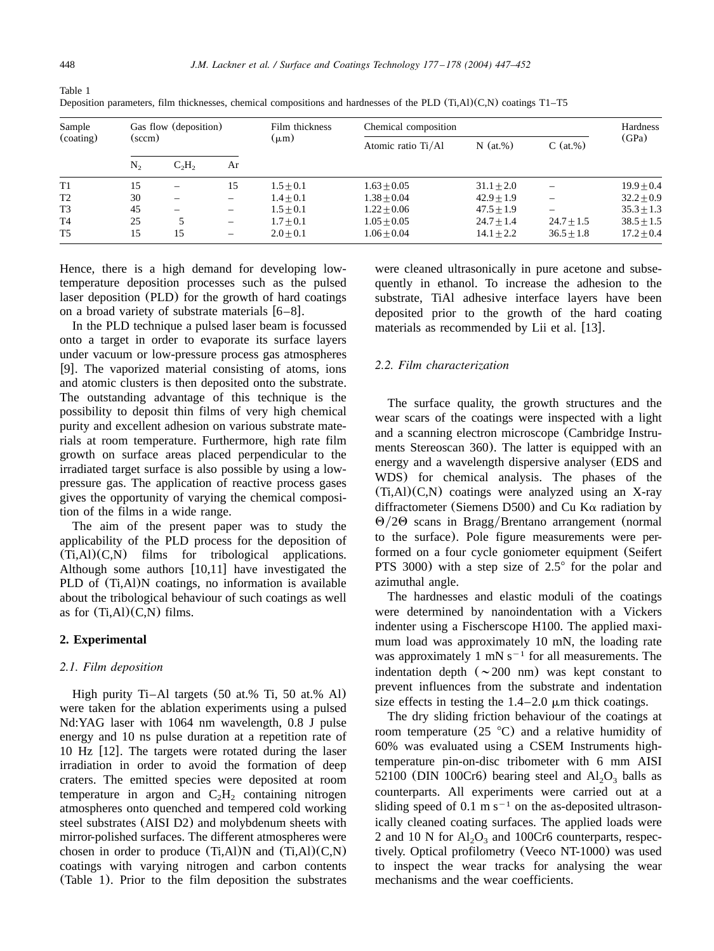| Sample<br>(coating) | Gas flow (deposition)<br>(sccm) |                          |                          | Film thickness<br>$(\mu m)$ | Chemical composition |              |              | Hardness     |
|---------------------|---------------------------------|--------------------------|--------------------------|-----------------------------|----------------------|--------------|--------------|--------------|
|                     |                                 |                          |                          |                             | Atomic ratio Ti/Al   | $N$ (at.%)   | $C$ (at.%)   | (GPa)        |
|                     | $N_{2}$                         | $C_2H_2$                 | Ar                       |                             |                      |              |              |              |
| T1                  | 15                              | $\overline{\phantom{0}}$ | 15                       | $1.5 + 0.1$                 | $1.63 + 0.05$        | $31.1 + 2.0$ |              | $19.9 + 0.4$ |
| T <sub>2</sub>      | 30                              | $\overline{\phantom{0}}$ | -                        | $1.4 + 0.1$                 | $1.38 + 0.04$        | $42.9 + 1.9$ |              | $32.2 + 0.9$ |
| T3                  | 45                              | $\overline{\phantom{0}}$ | $\overline{\phantom{0}}$ | $1.5 + 0.1$                 | $1.22 + 0.06$        | $47.5 + 1.9$ |              | $35.3 + 1.3$ |
| T <sub>4</sub>      | 25                              |                          |                          | $1.7 + 0.1$                 | $1.05 + 0.05$        | $24.7 + 1.4$ | $24.7 + 1.5$ | $38.5 + 1.5$ |
| T <sub>5</sub>      | 15                              | 15                       |                          | $2.0 + 0.1$                 | $1.06 + 0.04$        | $14.1 + 2.2$ | $36.5 + 1.8$ | $17.2 + 0.4$ |

Deposition parameters, film thicknesses, chemical compositions and hardnesses of the PLD (Ti,Al)(C,N) coatings T1–T5

Hence, there is a high demand for developing lowtemperature deposition processes such as the pulsed laser deposition (PLD) for the growth of hard coatings on a broad variety of substrate materials  $[6-8]$ .

In the PLD technique a pulsed laser beam is focussed onto a target in order to evaporate its surface layers under vacuum or low-pressure process gas atmospheres [[9](#page-5-0)]. The vaporized material consisting of atoms, ions and atomic clusters is then deposited onto the substrate. The outstanding advantage of this technique is the possibility to deposit thin films of very high chemical purity and excellent adhesion on various substrate materials at room temperature. Furthermore, high rate film growth on surface areas placed perpendicular to the irradiated target surface is also possible by using a lowpressure gas. The application of reactive process gases gives the opportunity of varying the chemical composition of the films in a wide range.

The aim of the present paper was to study the applicability of the PLD process for the deposition of (Ti,Al)(C,N) films for tribological applications. Although some authors  $[10,11]$  $[10,11]$  $[10,11]$  have investigated the PLD of  $(Ti, A1)N$  coatings, no information is available about the tribological behaviour of such coatings as well as for  $(Ti, A)$  $(C, N)$  films.

## **2. Experimental**

#### *2.1. Film deposition*

High purity Ti–Al targets (50 at.% Ti, 50 at.% Al) were taken for the ablation experiments using a pulsed Nd:YAG laser with 1064 nmwavelength, 0.8 J pulse energy and 10 ns pulse duration at a repetition rate of  $10$  Hz  $[12]$  $[12]$  $[12]$ . The targets were rotated during the laser irradiation in order to avoid the formation of deep craters. The emitted species were deposited at room temperature in argon and  $C_2H_2$  containing nitrogen atmospheres onto quenched and tempered cold working steel substrates (AISI D2) and molybdenum sheets with mirror-polished surfaces. The different atmospheres were chosen in order to produce  $(Ti, A1)N$  and  $(Ti, A1)(C,N)$ coatings with varying nitrogen and carbon contents (Table 1). Prior to the film deposition the substrates

were cleaned ultrasonically in pure acetone and subsequently in ethanol. To increase the adhesion to the substrate, TiAl adhesive interface layers have been deposited prior to the growth of the hard coating materials as recommended by Lii et al. [[13](#page-5-0)].

# *2.2. Film characterization*

The surface quality, the growth structures and the wear scars of the coatings were inspected with a light and a scanning electron microscope (Cambridge Instruments Stereoscan 360). The latter is equipped with an energy and a wavelength dispersive analyser (EDS and WDS) for chemical analysis. The phases of the  $(Ti, A)$  $(C, N)$  coatings were analyzed using an X-ray diffractometer (Siemens D500) and Cu K $\alpha$  radiation by  $\Theta/2\Theta$  scans in Bragg/Brentano arrangement (normal to the surface). Pole figure measurements were performed on a four cycle goniometer equipment (Seifert PTS 3000) with a step size of  $2.5^{\circ}$  for the polar and azimuthal angle.

The hardnesses and elastic moduli of the coatings were determined by nanoindentation with a Vickers indenter using a Fischerscope H100. The applied maximum load was approximately 10 mN, the loading rate was approximately 1 mN  $s^{-1}$  for all measurements. The indentation depth  $({\sim}200 \text{ nm})$  was kept constant to prevent influences from the substrate and indentation size effects in testing the  $1.4-2.0 \mu m$  thick coatings.

The dry sliding friction behaviour of the coatings at room temperature  $(25 \text{ °C})$  and a relative humidity of 60% was evaluated using a CSEM Instruments hightemperature pin-on-disc tribometer with 6 mm AISI 52100 (DIN 100Cr6) bearing steel and  $Al_2O_3$  balls as counterparts. All experiments were carried out at a sliding speed of 0.1 m  $s^{-1}$  on the as-deposited ultrasonically cleaned coating surfaces. The applied loads were 2 and 10 N for  $Al_2O_3$  and 100Cr6 counterparts, respectively. Optical profilometry (Veeco NT-1000) was used to inspect the wear tracks for analysing the wear mechanisms and the wear coefficients.

<span id="page-1-0"></span>Table 1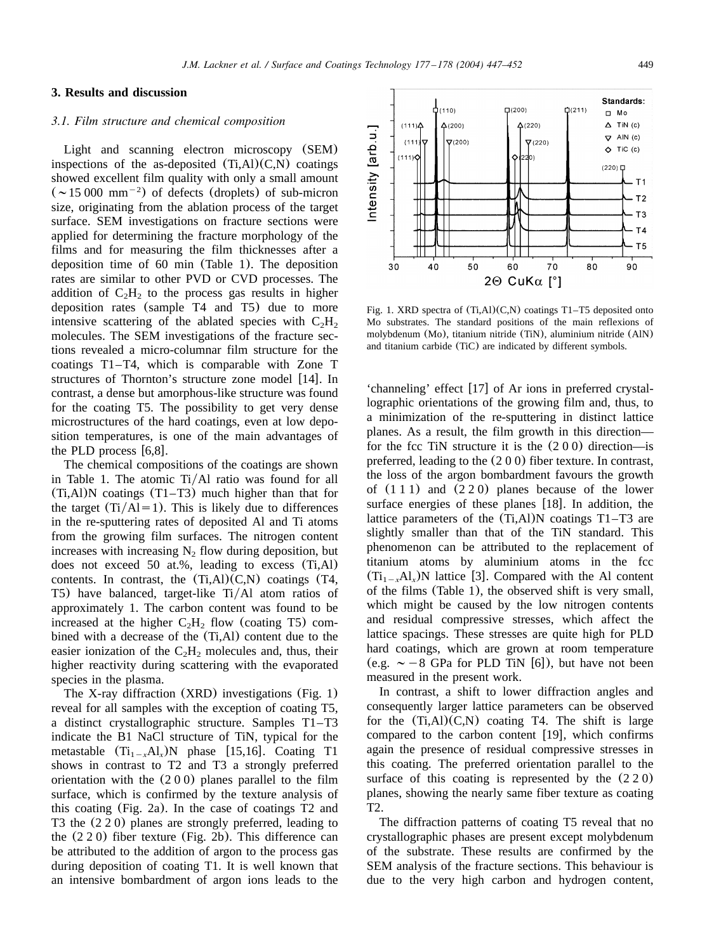# **3. Results and discussion**

#### *3.1. Film structure and chemical composition*

Light and scanning electron microscopy (SEM) inspections of the as-deposited  $(Ti.AI)(C.N)$  coatings showed excellent film quality with only a small amount  $({\sim}15\,000\,$  mm<sup>-2</sup>) of defects (droplets) of sub-micron size, originating from the ablation process of the target surface. SEM investigations on fracture sections were applied for determining the fracture morphology of the films and for measuring the film thicknesses after a deposition time of 60 min ([Table 1](#page-1-0)). The deposition rates are similar to other PVD or CVD processes. The addition of  $C_2H_2$  to the process gas results in higher deposition rates (sample T4 and T5) due to more intensive scattering of the ablated species with  $C_2H_2$ molecules. The SEM investigations of the fracture sections revealed a micro-columnar film structure for the coatings T1–T4, which is comparable with Zone T structures of Thornton's structure zone model [[14](#page-5-0)]. In contrast, a dense but amorphous-like structure was found for the coating T5. The possibility to get very dense microstructures of the hard coatings, even at low deposition temperatures, is one of the main advantages of the PLD process  $[6,8]$  $[6,8]$  $[6,8]$ .

The chemical compositions of the coatings are shown in [Table 1.](#page-1-0) The atomic  $Ti/Al$  ratio was found for all (Ti,Al)N coatings (T1–T3) much higher than that for the target  $(Ti/Al=1)$ . This is likely due to differences in the re-sputtering rates of deposited Al and Ti atoms from the growing film surfaces. The nitrogen content increases with increasing  $N_2$  flow during deposition, but does not exceed 50 at.%, leading to excess (Ti,Al) contents. In contrast, the  $(Ti, A)(C,N)$  coatings  $(T4, A)$ T5) have balanced, target-like  $Ti/Al$  atom ratios of approximately 1. The carbon content was found to be increased at the higher  $C_2H_2$  flow (coating T5) combined with a decrease of the (Ti,Al) content due to the easier ionization of the  $C_2H_2$  molecules and, thus, their higher reactivity during scattering with the evaporated species in the plasma.

The X-ray diffraction (XRD) investigations (Fig. 1) reveal for all samples with the exception of coating T5, a distinct crystallographic structure. Samples T1–T3 indicate the B1 NaCl structure of TiN, typical for the metastable  $(T_{1}^T, A_{1}^T)N$  phase [[15,16](#page-5-0)]. Coating T1 shows in contrast to T2 and T3 a strongly preferred orientation with the (200) planes parallel to the film surface, which is confirmed by the texture analysis of this coating ([Fig. 2a](#page-3-0)). In the case of coatings T2 and T3 the (220) planes are strongly preferred, leading to the (220) fiber texture ([Fig. 2b](#page-3-0)). This difference can be attributed to the addition of argon to the process gas during deposition of coating T1. It is well known that an intensive bombardment of argon ions leads to the



Fig. 1. XRD spectra of (Ti,Al)(C,N) coatings T1–T5 deposited onto Mo substrates. The standard positions of the main reflexions of molybdenum (Mo), titanium nitride (TiN), aluminium nitride (AlN) and titanium carbide (TiC) are indicated by different symbols.

'channeling' effect  $[17]$  $[17]$  $[17]$  of Ar ions in preferred crystallographic orientations of the growing film and, thus, to a minimization of the re-sputtering in distinct lattice planes. As a result, the film growth in this direction for the fcc TiN structure it is the  $(200)$  direction—is preferred, leading to the (200) fiber texture. In contrast, the loss of the argon bombardment favours the growth of (111) and (220) planes because of the lower surface energies of these planes  $[18]$  $[18]$  $[18]$ . In addition, the lattice parameters of the (Ti,Al)N coatings T1–T3 are slightly smaller than that of the TiN standard. This phenomenon can be attributed to the replacement of titanium atoms by aluminium atoms in the fcc  $(Ti_{1-x}Al_x)N$  lattice [[3](#page-5-0)]. Compared with the Al content of the films ([Table 1](#page-1-0)), the observed shift is very small, which might be caused by the low nitrogen contents and residual compressive stresses, which affect the lattice spacings. These stresses are quite high for PLD hard coatings, which are grown at room temperature (e.g.  $\sim -8$  GPa for PLD TiN [[6](#page-5-0)]), but have not been measured in the present work.

In contrast, a shift to lower diffraction angles and consequently larger lattice parameters can be observed for the  $(Ti, A)$  $(C, N)$  coating T4. The shift is large compared to the carbon content  $[19]$  $[19]$  $[19]$ , which confirms again the presence of residual compressive stresses in this coating. The preferred orientation parallel to the surface of this coating is represented by the  $(220)$ planes, showing the nearly same fiber texture as coating T2.

The diffraction patterns of coating T5 reveal that no crystallographic phases are present except molybdenum of the substrate. These results are confirmed by the SEM analysis of the fracture sections. This behaviour is due to the very high carbon and hydrogen content,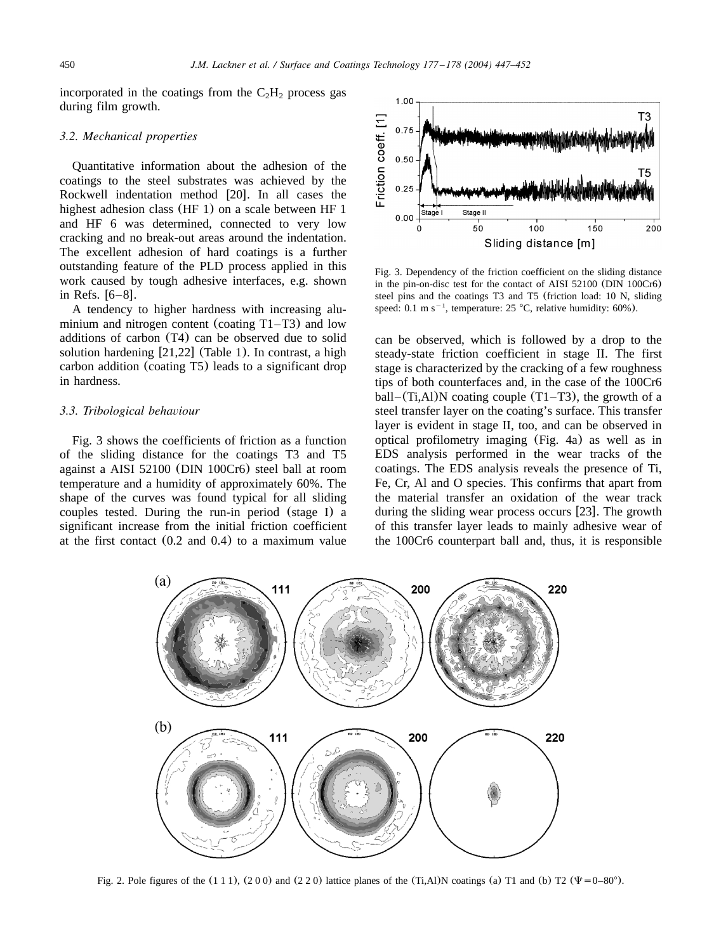<span id="page-3-0"></span>incorporated in the coatings from the  $C_2H_2$  process gas during film growth.

## *3.2. Mechanical properties*

Quantitative information about the adhesion of the coatings to the steel substrates was achieved by the Rockwell indentation method  $[20]$  $[20]$  $[20]$ . In all cases the highest adhesion class (HF 1) on a scale between HF 1 and HF 6 was determined, connected to very low cracking and no break-out areas around the indentation. The excellent adhesion of hard coatings is a further outstanding feature of the PLD process applied in this work caused by tough adhesive interfaces, e.g. shown in Refs.  $[6-8]$ .

A tendency to higher hardness with increasing aluminium and nitrogen content (coating T1–T3) and low additions of carbon (T4) can be observed due to solid solution hardening  $[21,22]$  $[21,22]$  $[21,22]$  ([Table 1](#page-1-0)). In contrast, a high carbon addition (coating T5) leads to a significant drop in hardness.

#### *3.3. Tribological behaviour*

Fig. 3 shows the coefficients of friction as a function of the sliding distance for the coatings T3 and T5 against a AISI 52100 (DIN 100Cr6) steel ball at room temperature and a humidity of approximately 60%. The shape of the curves was found typical for all sliding couples tested. During the run-in period (stage I) a significant increase from the initial friction coefficient at the first contact (0.2 and 0.4) to a maximum value



Fig. 3. Dependency of the friction coefficient on the sliding distance in the pin-on-disc test for the contact of AISI 52100 (DIN 100Cr6) steel pins and the coatings T3 and T5 (friction load: 10 N, sliding speed: 0.1 m s<sup>-1</sup>, temperature: 25 °C, relative humidity: 60%).

can be observed, which is followed by a drop to the steady-state friction coefficient in stage II. The first stage is characterized by the cracking of a few roughness tips of both counterfaces and, in the case of the 100Cr6 ball–(Ti,Al)N coating couple  $(T1-T3)$ , the growth of a steel transfer layer on the coating's surface. This transfer layer is evident in stage II, too, and can be observed in optical profilometry imaging ([Fig. 4a](#page-4-0)) as well as in EDS analysis performed in the wear tracks of the coatings. The EDS analysis reveals the presence of Ti, Fe, Cr, Al and O species. This confirms that apart from the material transfer an oxidation of the wear track during the sliding wear process occurs [[23](#page-5-0)]. The growth of this transfer layer leads to mainly adhesive wear of the 100Cr6 counterpart ball and, thus, it is responsible



Fig. 2. Pole figures of the  $(111)$ ,  $(200)$  and  $(220)$  lattice planes of the (Ti,Al)N coatings (a) T1 and (b) T2 ( $\Psi$ =0–80°).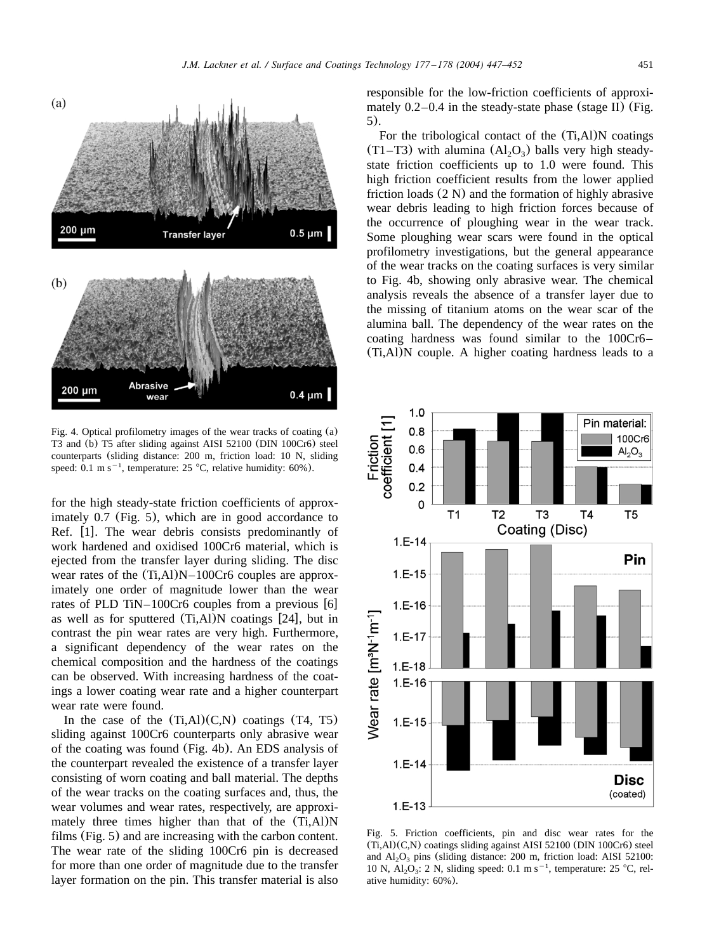<span id="page-4-0"></span>

Fig. 4. Optical profilometry images of the wear tracks of coating (a) T3 and (b) T5 after sliding against AISI 52100 (DIN 100Cr6) steel counterparts (sliding distance: 200 m, friction load: 10 N, sliding speed: 0.1 m s<sup> $-1$ </sup>, temperature: 25 °C, relative humidity: 60%).

for the high steady-state friction coefficients of approximately 0.7 (Fig. 5), which are in good accordance to Ref.  $[1]$  $[1]$  $[1]$ . The wear debris consists predominantly of work hardened and oxidised 100Cr6 material, which is ejected from the transfer layer during sliding. The disc wear rates of the  $(Ti, A1)N-100Cr6$  couples are approximately one order of magnitude lower than the wear rates of PLD TiN–100Cr[6](#page-5-0) couples from a previous  $[6]$ as well as for sputtered  $(Ti, A1)N$  coatings [[24](#page-5-0)], but in contrast the pin wear rates are very high. Furthermore, a significant dependency of the wear rates on the chemical composition and the hardness of the coatings can be observed. With increasing hardness of the coatings a lower coating wear rate and a higher counterpart wear rate were found.

In the case of the  $(Ti, A)(C,N)$  coatings  $(T4, T5)$ sliding against 100Cr6 counterparts only abrasive wear of the coating was found (Fig. 4b). An EDS analysis of the counterpart revealed the existence of a transfer layer consisting of worn coating and ball material. The depths of the wear tracks on the coating surfaces and, thus, the wear volumes and wear rates, respectively, are approximately three times higher than that of the (Ti,Al)N films (Fig. 5) and are increasing with the carbon content. The wear rate of the sliding 100Cr6 pin is decreased for more than one order of magnitude due to the transfer layer formation on the pin. This transfer material is also responsible for the low-friction coefficients of approximately  $0.2-0.4$  in the steady-state phase (stage II) (Fig. 5).

For the tribological contact of the (Ti,Al)N coatings  $(T1-T3)$  with alumina  $(A1<sub>2</sub>O<sub>3</sub>)$  balls very high steadystate friction coefficients up to 1.0 were found. This high friction coefficient results from the lower applied friction loads (2 N) and the formation of highly abrasive wear debris leading to high friction forces because of the occurrence of ploughing wear in the wear track. Some ploughing wear scars were found in the optical profilometry investigations, but the general appearance of the wear tracks on the coating surfaces is very similar to Fig. 4b, showing only abrasive wear. The chemical analysis reveals the absence of a transfer layer due to the missing of titanium atoms on the wear scar of the alumina ball. The dependency of the wear rates on the coating hardness was found similar to the 100Cr6– (Ti,Al)N couple. A higher coating hardness leads to a



Fig. 5. Friction coefficients, pin and disc wear rates for the (Ti,Al)(C,N) coatings sliding against AISI 52100 (DIN 100Cr6) steel and  $Al_2O_3$  pins (sliding distance: 200 m, friction load: AISI 52100: 10 N,  $\overline{Al}_2O_3$ : 2 N, sliding speed: 0.1 m s<sup>-1</sup>, temperature: 25 °C, relative humidity: 60%).